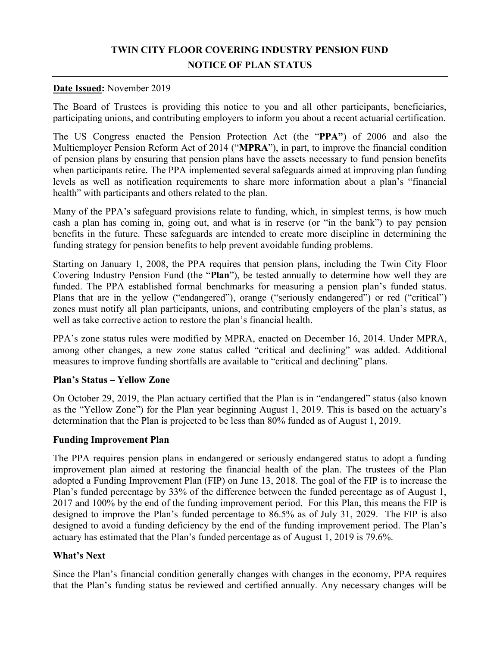# **TWIN CITY FLOOR COVERING INDUSTRY PENSION FUND NOTICE OF PLAN STATUS**

### **Date Issued:** November 2019

 The Board of Trustees is providing this notice to you and all other participants, beneficiaries, participating unions, and contributing employers to inform you about a recent actuarial certification.

 of pension plans by ensuring that pension plans have the assets necessary to fund pension benefits when participants retire. The PPA implemented several safeguards aimed at improving plan funding levels as well as notification requirements to share more information about a plan's "financial The US Congress enacted the Pension Protection Act (the "**PPA"**) of 2006 and also the Multiemployer Pension Reform Act of 2014 ("**MPRA**"), in part, to improve the financial condition health" with participants and others related to the plan.

 Many of the PPA's safeguard provisions relate to funding, which, in simplest terms, is how much cash a plan has coming in, going out, and what is in reserve (or "in the bank") to pay pension benefits in the future. These safeguards are intended to create more discipline in determining the funding strategy for pension benefits to help prevent avoidable funding problems.

 Starting on January 1, 2008, the PPA requires that pension plans, including the Twin City Floor Covering Industry Pension Fund (the "**Plan**"), be tested annually to determine how well they are funded. The PPA established formal benchmarks for measuring a pension plan's funded status. zones must notify all plan participants, unions, and contributing employers of the plan's status, as Plans that are in the yellow ("endangered"), orange ("seriously endangered") or red ("critical") well as take corrective action to restore the plan's financial health.

 among other changes, a new zone status called "critical and declining" was added. Additional PPA's zone status rules were modified by MPRA, enacted on December 16, 2014. Under MPRA, measures to improve funding shortfalls are available to "critical and declining" plans.

## **Plan's Status – Yellow Zone**

On October 29, 2019, the Plan actuary certified that the Plan is in "endangered" status (also known as the "Yellow Zone") for the Plan year beginning August 1, 2019. This is based on the actuary's determination that the Plan is projected to be less than 80% funded as of August 1, 2019.

## **Funding Improvement Plan**

 The PPA requires pension plans in endangered or seriously endangered status to adopt a funding improvement plan aimed at restoring the financial health of the plan. The trustees of the Plan adopted a Funding Improvement Plan (FIP) on June 13, 2018. The goal of the FIP is to increase the Plan's funded percentage by 33% of the difference between the funded percentage as of August 1, 2017 and 100% by the end of the funding improvement period. For this Plan, this means the FIP is designed to improve the Plan's funded percentage to 86.5% as of July 31, 2029. The FIP is also designed to avoid a funding deficiency by the end of the funding improvement period. The Plan's actuary has estimated that the Plan's funded percentage as of August 1, 2019 is 79.6%.

## **What's Next**

 Since the Plan's financial condition generally changes with changes in the economy, PPA requires that the Plan's funding status be reviewed and certified annually. Any necessary changes will be